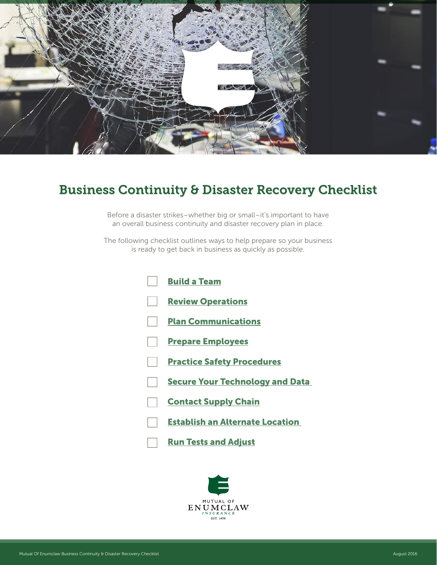<span id="page-0-0"></span>

# Business Continuity & Disaster Recovery Checklist

Before a disaster strikes–whether big or small–it's important to have an overall business continuity and disaster recovery plan in place.

The following checklist outlines ways to help prepare so your business is ready to get back in business as quickly as possible.

| <b>Build a Team</b>                    |
|----------------------------------------|
| <b>Review Operations</b>               |
| <b>Plan Communications</b>             |
| <b>Prepare Employees</b>               |
| <b>Practice Safety Procedures</b>      |
| <b>Secure Your Technology and Data</b> |
| <b>Contact Supply Chain</b>            |
| <b>Establish an Alternate Location</b> |
| <b>Run Tests and Adjust</b>            |

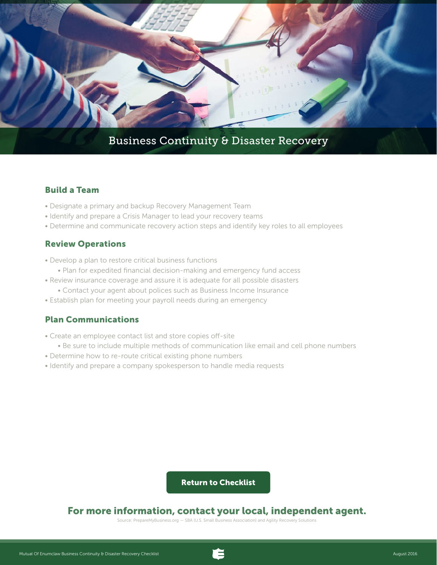<span id="page-1-0"></span>

## Business Continuity & Disaster Recovery

## Build a Team

- Designate a primary and backup Recovery Management Team
- Identify and prepare a Crisis Manager to lead your recovery teams
- Determine and communicate recovery action steps and identify key roles to all employees

#### Review Operations

- Develop a plan to restore critical business functions • Plan for expedited financial decision-making and emergency fund access
- Review insurance coverage and assure it is adequate for all possible disasters
	- Contact your agent about polices such as Business Income Insurance
- Establish plan for meeting your payroll needs during an emergency

## Plan Communications

- Create an employee contact list and store copies off-site
	- Be sure to include multiple methods of communication like email and cell phone numbers
- Determine how to re-route critical existing phone numbers
- Identify and prepare a company spokesperson to handle media requests

[Return to Checklist](#page-0-0)

## For more information, contact your local, independent agent.

Source: PrepareMyBusiness.org — SBA (U.S. Small Business Association) and Agility Recovery Solutions

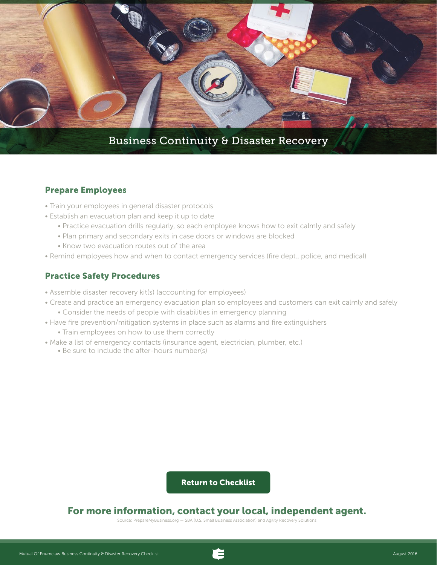<span id="page-2-0"></span>

#### Prepare Employees

- Train your employees in general disaster protocols
- Establish an evacuation plan and keep it up to date
	- Practice evacuation drills regularly, so each employee knows how to exit calmly and safely
	- Plan primary and secondary exits in case doors or windows are blocked
	- Know two evacuation routes out of the area
- Remind employees how and when to contact emergency services (fire dept., police, and medical)

#### Practice Safety Procedures

- Assemble disaster recovery kit(s) (accounting for employees)
- Create and practice an emergency evacuation plan so employees and customers can exit calmly and safely
	- Consider the needs of people with disabilities in emergency planning
- Have fire prevention/mitigation systems in place such as alarms and fire extinguishers
	- Train employees on how to use them correctly
- Make a list of emergency contacts (insurance agent, electrician, plumber, etc.)
	- Be sure to include the after-hours number(s)

#### [Return to Checklist](#page-0-0)

## For more information, contact your local, independent agent.

Source: PrepareMyBusiness.org — SBA (U.S. Small Business Association) and Agility Recovery Solutions